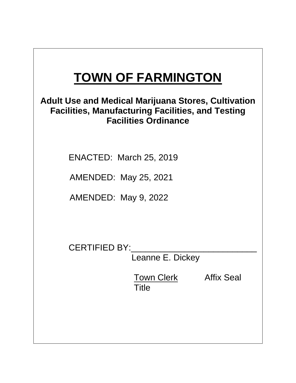# **TOWN OF FARMINGTON**

# **Adult Use and Medical Marijuana Stores, Cultivation Facilities, Manufacturing Facilities, and Testing Facilities Ordinance**

ENACTED: March 25, 2019

AMENDED: May 25, 2021

AMENDED: May 9, 2022

CERTIFIED BY:\_\_\_\_\_\_\_\_\_\_\_\_\_\_\_\_\_\_\_\_\_\_\_\_\_\_

Leanne E. Dickey

**Town Clerk Affix Seal Title**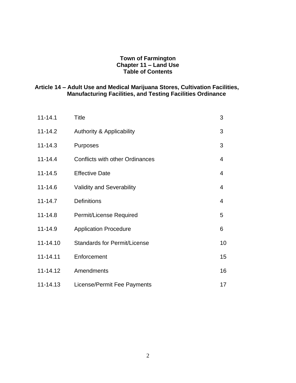## **Town of Farmington Chapter 11 – Land Use Table of Contents**

#### **Article 14 – Adult Use and Medical Marijuana Stores, Cultivation Facilities, Manufacturing Facilities, and Testing Facilities Ordinance**

| $11 - 14.1$ | Title                                  | 3              |
|-------------|----------------------------------------|----------------|
| $11 - 14.2$ | <b>Authority &amp; Applicability</b>   | 3              |
| $11 - 14.3$ | <b>Purposes</b>                        | 3              |
| $11 - 14.4$ | <b>Conflicts with other Ordinances</b> | $\overline{4}$ |
| $11 - 14.5$ | <b>Effective Date</b>                  | 4              |
| 11-14.6     | <b>Validity and Severability</b>       | $\overline{4}$ |
| $11 - 14.7$ | <b>Definitions</b>                     | 4              |
| $11 - 14.8$ | Permit/License Required                | 5              |
| 11-14.9     | <b>Application Procedure</b>           | 6              |
| 11-14.10    | <b>Standards for Permit/License</b>    | 10             |
| 11-14.11    | Enforcement                            | 15             |
| 11-14.12    | Amendments                             | 16             |
| 11-14.13    | License/Permit Fee Payments            | 17             |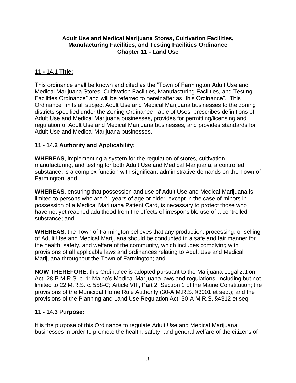## **Adult Use and Medical Marijuana Stores, Cultivation Facilities, Manufacturing Facilities, and Testing Facilities Ordinance Chapter 11 - Land Use**

# **11 - 14.1 Title:**

This ordinance shall be known and cited as the "Town of Farmington Adult Use and Medical Marijuana Stores, Cultivation Facilities, Manufacturing Facilities, and Testing Facilities Ordinance" and will be referred to hereinafter as "this Ordinance". This Ordinance limits all subject Adult Use and Medical Marijuana businesses to the zoning districts specified under the Zoning Ordinance Table of Uses, prescribes definitions of Adult Use and Medical Marijuana businesses, provides for permitting/licensing and regulation of Adult Use and Medical Marijuana businesses, and provides standards for Adult Use and Medical Marijuana businesses.

# **11 - 14.2 Authority and Applicability:**

**WHEREAS**, implementing a system for the regulation of stores, cultivation, manufacturing, and testing for both Adult Use and Medical Marijuana, a controlled substance, is a complex function with significant administrative demands on the Town of Farmington; and

**WHEREAS**, ensuring that possession and use of Adult Use and Medical Marijuana is limited to persons who are 21 years of age or older, except in the case of minors in possession of a Medical Marijuana Patient Card, is necessary to protect those who have not yet reached adulthood from the effects of irresponsible use of a controlled substance; and

**WHEREAS**, the Town of Farmington believes that any production, processing, or selling of Adult Use and Medical Marijuana should be conducted in a safe and fair manner for the health, safety, and welfare of the community, which includes complying with provisions of all applicable laws and ordinances relating to Adult Use and Medical Marijuana throughout the Town of Farmington; and

**NOW THEREFORE**, this Ordinance is adopted pursuant to the Marijuana Legalization Act, 28-B M.R.S. c. 1; Maine's Medical Marijuana laws and regulations, including but not limited to 22 M.R.S. c. 558-C; Article VIII, Part 2, Section 1 of the Maine Constitution; the provisions of the Municipal Home Rule Authority (30-A M.R.S. §3001 et seq.); and the provisions of the Planning and Land Use Regulation Act, 30-A M.R.S. §4312 et seq.

# **11 - 14.3 Purpose:**

It is the purpose of this Ordinance to regulate Adult Use and Medical Marijuana businesses in order to promote the health, safety, and general welfare of the citizens of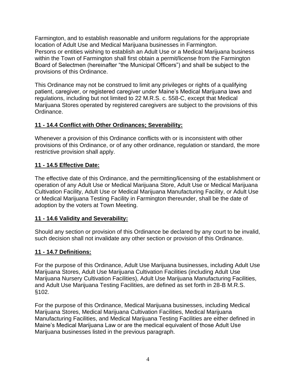Farmington, and to establish reasonable and uniform regulations for the appropriate location of Adult Use and Medical Marijuana businesses in Farmington. Persons or entities wishing to establish an Adult Use or a Medical Marijuana business within the Town of Farmington shall first obtain a permit/license from the Farmington Board of Selectmen (hereinafter "the Municipal Officers") and shall be subject to the provisions of this Ordinance.

This Ordinance may not be construed to limit any privileges or rights of a qualifying patient, caregiver, or registered caregiver under Maine's Medical Marijuana laws and regulations, including but not limited to 22 M.R.S. c. 558-C, except that Medical Marijuana Stores operated by registered caregivers are subject to the provisions of this Ordinance.

# **11 - 14.4 Conflict with Other Ordinances; Severability:**

Whenever a provision of this Ordinance conflicts with or is inconsistent with other provisions of this Ordinance, or of any other ordinance, regulation or standard, the more restrictive provision shall apply.

# **11 - 14.5 Effective Date:**

The effective date of this Ordinance, and the permitting/licensing of the establishment or operation of any Adult Use or Medical Marijuana Store, Adult Use or Medical Marijuana Cultivation Facility, Adult Use or Medical Marijuana Manufacturing Facility, or Adult Use or Medical Marijuana Testing Facility in Farmington thereunder, shall be the date of adoption by the voters at Town Meeting.

# **11 - 14.6 Validity and Severability:**

Should any section or provision of this Ordinance be declared by any court to be invalid, such decision shall not invalidate any other section or provision of this Ordinance.

# **11 - 14.7 Definitions:**

For the purpose of this Ordinance, Adult Use Marijuana businesses, including Adult Use Marijuana Stores, Adult Use Marijuana Cultivation Facilities (including Adult Use Marijuana Nursery Cultivation Facilities), Adult Use Marijuana Manufacturing Facilities, and Adult Use Marijuana Testing Facilities, are defined as set forth in 28-B M.R.S. §102.

For the purpose of this Ordinance, Medical Marijuana businesses, including Medical Marijuana Stores, Medical Marijuana Cultivation Facilities, Medical Marijuana Manufacturing Facilities, and Medical Marijuana Testing Facilities are either defined in Maine's Medical Marijuana Law or are the medical equivalent of those Adult Use Marijuana businesses listed in the previous paragraph.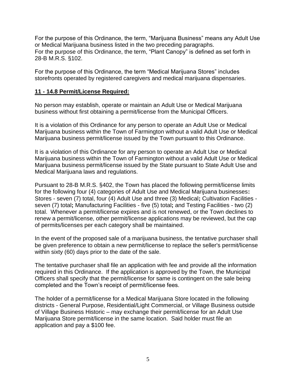For the purpose of this Ordinance, the term, "Marijuana Business" means any Adult Use or Medical Marijuana business listed in the two preceding paragraphs. For the purpose of this Ordinance, the term, "Plant Canopy" is defined as set forth in 28-B M.R.S. §102.

For the purpose of this Ordinance, the term "Medical Marijuana Stores" includes storefronts operated by registered caregivers and medical marijuana dispensaries.

# **11 - 14.8 Permit/License Required:**

No person may establish, operate or maintain an Adult Use or Medical Marijuana business without first obtaining a permit/license from the Municipal Officers.

It is a violation of this Ordinance for any person to operate an Adult Use or Medical Marijuana business within the Town of Farmington without a valid Adult Use or Medical Marijuana business permit/license issued by the Town pursuant to this Ordinance.

It is a violation of this Ordinance for any person to operate an Adult Use or Medical Marijuana business within the Town of Farmington without a valid Adult Use or Medical Marijuana business permit/license issued by the State pursuant to State Adult Use and Medical Marijuana laws and regulations.

Pursuant to 28-B M.R.S. §402, the Town has placed the following permit/license limits for the following four (4) categories of Adult Use and Medical Marijuana businesses**:**  Stores - seven (7) total, four (4) Adult Use and three (3) Medical**;** Cultivation Facilities seven (7) total**;** Manufacturing Facilities - five (5) total**;** and Testing Facilities - two (2) total. Whenever a permit/license expires and is not renewed, or the Town declines to renew a permit/license, other permit/license applications may be reviewed, but the cap of permits/licenses per each category shall be maintained.

In the event of the proposed sale of a marijuana business, the tentative purchaser shall be given preference to obtain a new permit/license to replace the seller's permit/license within sixty (60) days prior to the date of the sale.

The tentative purchaser shall file an application with fee and provide all the information required in this Ordinance. If the application is approved by the Town, the Municipal Officers shall specify that the permit/license for same is contingent on the sale being completed and the Town's receipt of permit/license fees.

The holder of a permit/license for a Medical Marijuana Store located in the following districts - General Purpose, Residential/Light Commercial, or Village Business outside of Village Business Historic – may exchange their permit/license for an Adult Use Marijuana Store permit/license in the same location. Said holder must file an application and pay a \$100 fee.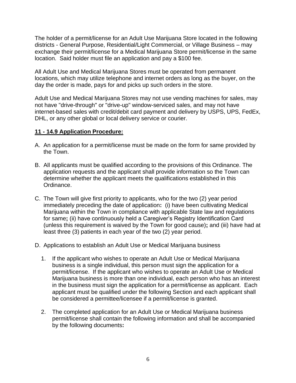The holder of a permit/license for an Adult Use Marijuana Store located in the following districts - General Purpose, Residential/Light Commercial, or Village Business – may exchange their permit/license for a Medical Marijuana Store permit/license in the same location. Said holder must file an application and pay a \$100 fee.

All Adult Use and Medical Marijuana Stores must be operated from permanent locations, which may utilize telephone and internet orders as long as the buyer, on the day the order is made, pays for and picks up such orders in the store.

Adult Use and Medical Marijuana Stores may not use vending machines for sales, may not have "drive-through" or "drive-up" window-serviced sales, and may not have internet-based sales with credit/debit card payment and delivery by USPS, UPS, FedEx, DHL, or any other global or local delivery service or courier.

### **11 - 14.9 Application Procedure:**

- A. An application for a permit/license must be made on the form for same provided by the Town.
- B. All applicants must be qualified according to the provisions of this Ordinance. The application requests and the applicant shall provide information so the Town can determine whether the applicant meets the qualifications established in this Ordinance.
- C. The Town will give first priority to applicants, who for the two (2) year period immediately preceding the date of application**:** (i) have been cultivating Medical Marijuana within the Town in compliance with applicable State law and regulations for same**;** (ii) have continuously held a Caregiver's Registry Identification Card (unless this requirement is waived by the Town for good cause)**;** and (iii) have had at least three (3) patients in each year of the two (2) year period.
- D. Applications to establish an Adult Use or Medical Marijuana business
	- 1. If the applicant who wishes to operate an Adult Use or Medical Marijuana business is a single individual, this person must sign the application for a permit/license. If the applicant who wishes to operate an Adult Use or Medical Marijuana business is more than one individual, each person who has an interest in the business must sign the application for a permit/license as applicant. Each applicant must be qualified under the following Section and each applicant shall be considered a permittee/licensee if a permit/license is granted.
	- 2. The completed application for an Adult Use or Medical Marijuana business permit/license shall contain the following information and shall be accompanied by the following documents**:**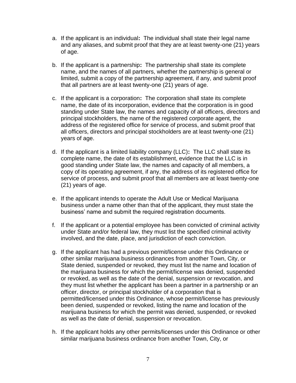- a. If the applicant is an individual**:** The individual shall state their legal name and any aliases, and submit proof that they are at least twenty-one (21) years of age.
- b. If the applicant is a partnership**:** The partnership shall state its complete name, and the names of all partners, whether the partnership is general or limited, submit a copy of the partnership agreement, if any, and submit proof that all partners are at least twenty-one (21) years of age.
- c. If the applicant is a corporation**:** The corporation shall state its complete name, the date of its incorporation, evidence that the corporation is in good standing under State law, the names and capacity of all officers, directors and principal stockholders, the name of the registered corporate agent, the address of the registered office for service of process, and submit proof that all officers, directors and principal stockholders are at least twenty-one (21) years of age.
- d. If the applicant is a limited liability company (LLC)**:** The LLC shall state its complete name, the date of its establishment, evidence that the LLC is in good standing under State law, the names and capacity of all members, a copy of its operating agreement, if any, the address of its registered office for service of process, and submit proof that all members are at least twenty-one (21) years of age.
- e. If the applicant intends to operate the Adult Use or Medical Marijuana business under a name other than that of the applicant, they must state the business' name and submit the required registration documents.
- f. If the applicant or a potential employee has been convicted of criminal activity under State and/or federal law, they must list the specified criminal activity involved, and the date, place, and jurisdiction of each conviction.
- g. If the applicant has had a previous permit/license under this Ordinance or other similar marijuana business ordinances from another Town, City, or State denied, suspended or revoked, they must list the name and location of the marijuana business for which the permit/license was denied, suspended or revoked, as well as the date of the denial, suspension or revocation, and they must list whether the applicant has been a partner in a partnership or an officer, director, or principal stockholder of a corporation that is permitted/licensed under this Ordinance, whose permit/license has previously been denied, suspended or revoked, listing the name and location of the marijuana business for which the permit was denied, suspended, or revoked as well as the date of denial, suspension or revocation.
- h. If the applicant holds any other permits/licenses under this Ordinance or other similar marijuana business ordinance from another Town, City, or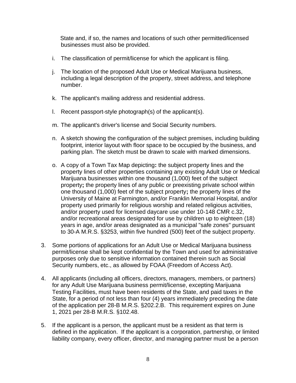State and, if so, the names and locations of such other permitted/licensed businesses must also be provided.

- i. The classification of permit/license for which the applicant is filing.
- j. The location of the proposed Adult Use or Medical Marijuana business, including a legal description of the property, street address, and telephone number.
- k. The applicant's mailing address and residential address.
- l. Recent passport-style photograph(s) of the applicant(s).
- m. The applicant's driver's license and Social Security numbers.
- n. A sketch showing the configuration of the subject premises, including building footprint, interior layout with floor space to be occupied by the business, and parking plan. The sketch must be drawn to scale with marked dimensions.
- o. A copy of a Town Tax Map depicting**:** the subject property lines and the property lines of other properties containing any existing Adult Use or Medical Marijuana businesses within one thousand (1,000) feet of the subject property**;** the property lines of any public or preexisting private school within one thousand (1,000) feet of the subject property**;** the property lines of the University of Maine at Farmington, and/or Franklin Memorial Hospital, and/or property used primarily for religious worship and related religious activities, and/or property used for licensed daycare use under 10-148 CMR c.32, and/or recreational areas designated for use by children up to eighteen (18) years in age, and/or areas designated as a municipal "safe zones" pursuant to 30-A M.R.S. §3253, within five hundred (500) feet of the subject property.
- 3. Some portions of applications for an Adult Use or Medical Marijuana business permit/license shall be kept confidential by the Town and used for administrative purposes only due to sensitive information contained therein such as Social Security numbers, etc., as allowed by FOAA (Freedom of Access Act).
- 4. All applicants (including all officers, directors, managers, members, or partners) for any Adult Use Marijuana business permit/license, excepting Marijuana Testing Facilities, must have been residents of the State, and paid taxes in the State, for a period of not less than four (4) years immediately preceding the date of the application per 28-B M.R.S. §202.2.B. This requirement expires on June 1, 2021 per 28-B M.R.S. §102.48.
- 5. If the applicant is a person, the applicant must be a resident as that term is defined in the application. If the applicant is a corporation, partnership, or limited liability company, every officer, director, and managing partner must be a person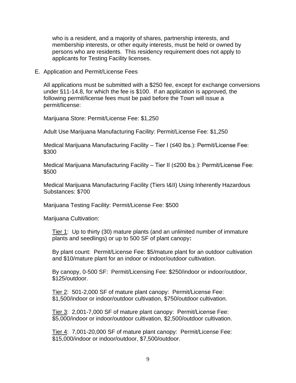who is a resident, and a majority of shares, partnership interests, and membership interests, or other equity interests, must be held or owned by persons who are residents. This residency requirement does not apply to applicants for Testing Facility licenses.

E. Application and Permit/License Fees

All applications must be submitted with a \$250 fee, except for exchange conversions under §11-14.8, for which the fee is \$100. If an application is approved, the following permit/license fees must be paid before the Town will issue a permit/license:

Marijuana Store: Permit/License Fee: \$1,250

Adult Use Marijuana Manufacturing Facility: Permit/License Fee: \$1,250

Medical Marijuana Manufacturing Facility – Tier I (≤40 lbs.): Permit/License Fee: \$300

Medical Marijuana Manufacturing Facility – Tier II (≤200 lbs.): Permit/License Fee: \$500

Medical Marijuana Manufacturing Facility (Tiers I&II) Using Inherently Hazardous Substances: \$700

Marijuana Testing Facility: Permit/License Fee: \$500

Marijuana Cultivation:

Tier 1: Up to thirty (30) mature plants (and an unlimited number of immature plants and seedlings) or up to 500 SF of plant canopy**:** 

By plant count: Permit/License Fee: \$5/mature plant for an outdoor cultivation and \$10/mature plant for an indoor or indoor/outdoor cultivation.

By canopy, 0-500 SF: Permit/Licensing Fee: \$250/indoor or indoor/outdoor, \$125/outdoor.

Tier 2: 501-2,000 SF of mature plant canopy: Permit/License Fee: \$1,500/indoor or indoor/outdoor cultivation, \$750/outdoor cultivation.

Tier 3: 2,001-7,000 SF of mature plant canopy: Permit/License Fee: \$5,000/indoor or indoor/outdoor cultivation, \$2,500/outdoor cultivation.

Tier 4: 7,001-20,000 SF of mature plant canopy: Permit/License Fee: \$15,000/indoor or indoor/outdoor, \$7,500/outdoor.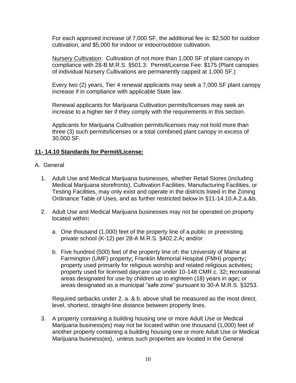For each approved increase of 7,000 SF, the additional fee is: \$2,500 for outdoor cultivation, and \$5,000 for indoor or indoor/outdoor cultivation.

Nursery Cultivation: Cultivation of not more than 1,000 SF of plant canopy in compliance with 28-B M.R.S. §501.3: Permit/License Fee: \$175 (Plant canopies of individual Nursery Cultivations are permanently capped at 1,000 SF.)

Every two (2) years, Tier 4 renewal applicants may seek a 7,000 SF plant canopy increase if in compliance with applicable State law.

Renewal applicants for Marijuana Cultivation permits/licenses may seek an increase to a higher tier if they comply with the requirements in this section.

Applicants for Marijuana Cultivation permits/licenses may not hold more than three (3) such permits/licenses or a total combined plant canopy in excess of 30,000 SF.

# **11- 14.10 Standards for Permit/License:**

- A. General
	- 1. Adult Use and Medical Marijuana businesses, whether Retail Stores (including Medical Marijuana storefronts), Cultivation Facilities, Manufacturing Facilities, or Testing Facilities, may only exist and operate in the districts listed in the Zoning Ordinance Table of Uses, and as further restricted below in §11-14.10.A.2.a.&b.
	- 2. Adult Use and Medical Marijuana businesses may not be operated on property located within**:**
		- a. One thousand (1,000) feet of the property line of a public or preexisting private school (K-12) per 28-A M.R.S. §402.2.A**;** and/or
		- b. Five hundred (500) feet of the property line of**:** the University of Maine at Farmington (UMF) property**;** Franklin Memorial Hospital (FMH) property**;**  property used primarily for religious worship and related religious activities**;**  property used for licensed daycare use under 10-148 CMR c. 32**; r**ecreational areas designated for use by children up to eighteen (18) years in age**;** or areas designated as a municipal "safe zone" pursuant to 30-A M.R.S. §3253.

Required setbacks under 2. a. & b. above shall be measured as the most direct, level, shortest, straight-line distance between property lines.

3. A property containing a building housing one or more Adult Use or Medical Marijuana business(es) may not be located within one thousand (1,000) feet of another property containing a building housing one or more Adult Use or Medical Marijuana business(es), unless such properties are located in the General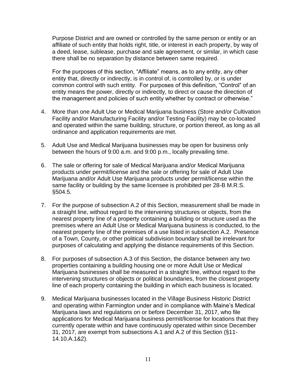Purpose District and are owned or controlled by the same person or entity or an affiliate of such entity that holds right, title, or interest in each property, by way of a deed, lease, sublease, purchase and sale agreement, or similar, in which case there shall be no separation by distance between same required.

For the purposes of this section, "Affiliate" means, as to any entity, any other entity that, directly or indirectly, is in control of, is controlled by, or is under common control with such entity. For purposes of this definition, "Control" of an entity means the power, directly or indirectly, to direct or cause the direction of the management and policies of such entity whether by contract or otherwise."

- 4. More than one Adult Use or Medical Marijuana business (Store and/or Cultivation Facility and/or Manufacturing Facility and/or Testing Facility) may be co-located and operated within the same building, structure, or portion thereof, as long as all ordinance and application requirements are met.
- 5. Adult Use and Medical Marijuana businesses may be open for business only between the hours of 9:00 a.m. and 9:00 p.m., locally prevailing time.
- 6. The sale or offering for sale of Medical Marijuana and/or Medical Marijuana products under permit/license and the sale or offering for sale of Adult Use Marijuana and/or Adult Use Marijuana products under permit/license within the same facility or building by the same licensee is prohibited per 28-B M.R.S. §504.5.
- 7. For the purpose of subsection A.2 of this Section, measurement shall be made in a straight line, without regard to the intervening structures or objects, from the nearest property line of a property containing a building or structure used as the premises where an Adult Use or Medical Marijuana business is conducted, to the nearest property line of the premises of a use listed in subsection A.2. Presence of a Town, County, or other political subdivision boundary shall be irrelevant for purposes of calculating and applying the distance requirements of this Section.
- 8. For purposes of subsection A.3 of this Section, the distance between any two properties containing a building housing one or more Adult Use or Medical Marijuana businesses shall be measured in a straight line, without regard to the intervening structures or objects or political boundaries, from the closest property line of each property containing the building in which each business is located.
- 9. Medical Marijuana businesses located in the Village Business Historic District and operating within Farmington under and in compliance with Maine's Medical Marijuana laws and regulations on or before December 31, 2017, who file applications for Medical Marijuana business permit/license for locations that they currently operate within and have continuously operated within since December 31, 2017, are exempt from subsections A.1 and A.2 of this Section (§11- 14.10.A.1&2).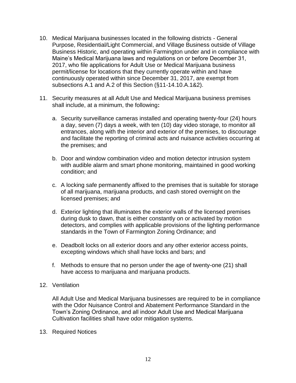- 10. Medical Marijuana businesses located in the following districts General Purpose, Residential/Light Commercial, and Village Business outside of Village Business Historic, and operating within Farmington under and in compliance with Maine's Medical Marijuana laws and regulations on or before December 31, 2017, who file applications for Adult Use or Medical Marijuana business permit/license for locations that they currently operate within and have continuously operated within since December 31, 2017, are exempt from subsections A.1 and A.2 of this Section (§11-14.10.A.1&2).
- 11. Security measures at all Adult Use and Medical Marijuana business premises shall include, at a minimum, the following**:**
	- a. Security surveillance cameras installed and operating twenty-four (24) hours a day, seven (7) days a week, with ten (10) day video storage, to monitor all entrances, along with the interior and exterior of the premises, to discourage and facilitate the reporting of criminal acts and nuisance activities occurring at the premises; and
	- b. Door and window combination video and motion detector intrusion system with audible alarm and smart phone monitoring, maintained in good working condition; and
	- c. A locking safe permanently affixed to the premises that is suitable for storage of all marijuana, marijuana products, and cash stored overnight on the licensed premises; and
	- d. Exterior lighting that illuminates the exterior walls of the licensed premises during dusk to dawn, that is either constantly on or activated by motion detectors, and complies with applicable provisions of the lighting performance standards in the Town of Farmington Zoning Ordinance; and
	- e. Deadbolt locks on all exterior doors and any other exterior access points, excepting windows which shall have locks and bars; and
	- f. Methods to ensure that no person under the age of twenty-one (21) shall have access to marijuana and marijuana products.
- 12. Ventilation

All Adult Use and Medical Marijuana businesses are required to be in compliance with the Odor Nuisance Control and Abatement Performance Standard in the Town's Zoning Ordinance, and all indoor Adult Use and Medical Marijuana Cultivation facilities shall have odor mitigation systems.

13. Required Notices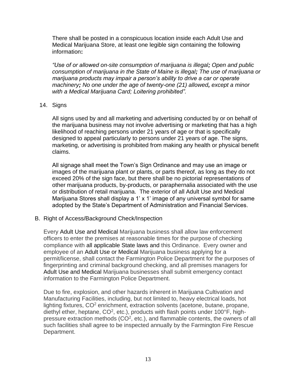There shall be posted in a conspicuous location inside each Adult Use and Medical Marijuana Store, at least one legible sign containing the following information**:** 

*"Use of or allowed on-site consumption of marijuana is illegal; Open and public consumption of marijuana in the State of Maine is illegal; The use of marijuana or marijuana products may impair a person's ability to drive a car or operate machinery; No one under the age of twenty-one (21) allowed, except a minor with a Medical Marijuana Card; Loitering prohibited".*

#### 14. Signs

All signs used by and all marketing and advertising conducted by or on behalf of the marijuana business may not involve advertising or marketing that has a high likelihood of reaching persons under 21 years of age or that is specifically designed to appeal particularly to persons under 21 years of age. The signs, marketing, or advertising is prohibited from making any health or physical benefit claims.

All signage shall meet the Town's Sign Ordinance and may use an image or images of the marijuana plant or plants, or parts thereof, as long as they do not exceed 20% of the sign face, but there shall be no pictorial representations of other marijuana products, by-products, or paraphernalia associated with the use or distribution of retail marijuana. The exterior of all Adult Use and Medical Marijuana Stores shall display a 1' x 1' image of any universal symbol for same adopted by the State's Department of Administration and Financial Services.

### B. Right of Access/Background Check/Inspection

Every Adult Use and Medical Marijuana business shall allow law enforcement officers to enter the premises at reasonable times for the purpose of checking compliance with all applicable State laws and this Ordinance. Every owner and employee of an Adult Use or Medical Marijuana business applying for a permit/license, shall contact the Farmington Police Department for the purposes of fingerprinting and criminal background checking, and all premises managers for Adult Use and Medical Marijuana businesses shall submit emergency contact information to the Farmington Police Department.

Due to fire, explosion, and other hazards inherent in Marijuana Cultivation and Manufacturing Facilities, including, but not limited to, heavy electrical loads, hot lighting fixtures, CO<sup>2</sup> enrichment, extraction solvents (acetone, butane, propane, diethyl ether, heptane, CO<sup>2</sup>, etc.), products with flash points under 100°F, highpressure extraction methods ( $CO<sup>2</sup>$ , etc.), and flammable contents, the owners of all such facilities shall agree to be inspected annually by the Farmington Fire Rescue Department.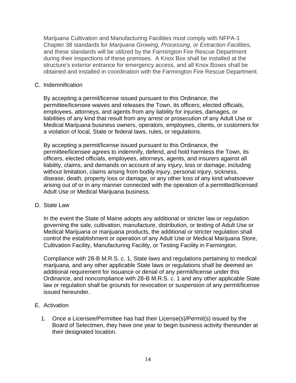Marijuana Cultivation and Manufacturing Facilities must comply with NFPA-1 Chapter 38 standards for *Marijuana Growing, Processing, or Extraction Facilities,* and these standards will be utilized by the Farmington Fire Rescue Department during their inspections of these premises. A Knox Box shall be installed at the structure's exterior entrance for emergency access, and all Knox Boxes shall be obtained and installed in coordination with the Farmington Fire Rescue Department.

#### C. Indemnification

By accepting a permit/license issued pursuant to this Ordinance, the permittee/licensee waives and releases the Town, its officers, elected officials, employees, attorneys, and agents from any liability for injuries, damages, or liabilities of any kind that result from any arrest or prosecution of any Adult Use or Medical Marijuana business owners, operators, employees, clients, or customers for a violation of local, State or federal laws, rules, or regulations.

By accepting a permit/license issued pursuant to this Ordinance, the permittee/licensee agrees to indemnify, defend, and hold harmless the Town, its officers, elected officials, employees, attorneys, agents, and insurers against all liability, claims, and demands on account of any injury, loss or damage, including without limitation, claims arising from bodily injury, personal injury, sickness, disease, death, property loss or damage, or any other loss of any kind whatsoever arising out of or in any manner connected with the operation of a permitted/licensed Adult Use or Medical Marijuana business.

#### D. State Law

In the event the State of Maine adopts any additional or stricter law or regulation governing the sale, cultivation, manufacture, distribution, or testing of Adult Use or Medical Marijuana or marijuana products, the additional or stricter regulation shall control the establishment or operation of any Adult Use or Medical Marijuana Store, Cultivation Facility, Manufacturing Facility, or Testing Facility in Farmington.

Compliance with 28-B M.R.S. c. 1, State laws and regulations pertaining to medical marijuana, and any other applicable State laws or regulations shall be deemed an additional requirement for issuance or denial of any permit/license under this Ordinance, and noncompliance with 28-B M.R.S. c. 1 and any other applicable State law or regulation shall be grounds for revocation or suspension of any permit/license issued hereunder.

### E. Activation

1. Once a Licensee/Permittee has had their License(s)/Permit(s) issued by the Board of Selectmen, they have one year to begin business activity thereunder at their designated location.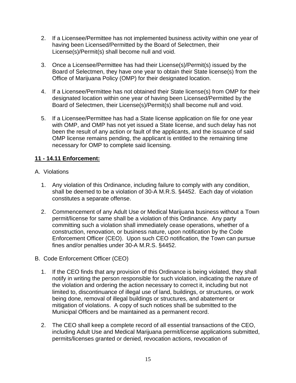- 2. If a Licensee/Permittee has not implemented business activity within one year of having been Licensed/Permitted by the Board of Selectmen, their License(s)/Permit(s) shall become null and void.
- 3. Once a Licensee/Permittee has had their License(s)/Permit(s) issued by the Board of Selectmen, they have one year to obtain their State license(s) from the Office of Marijuana Policy (OMP) for their designated location.
- 4. If a Licensee/Permittee has not obtained their State license(s) from OMP for their designated location within one year of having been Licensed/Permitted by the Board of Selectmen, their License(s)/Permit(s) shall become null and void.
- 5. If a Licensee/Permittee has had a State license application on file for one year with OMP, and OMP has not yet issued a State license, and such delay has not been the result of any action or fault of the applicants, and the issuance of said OMP license remains pending, the applicant is entitled to the remaining time necessary for OMP to complete said licensing.

# **11 - 14.11 Enforcement:**

- A. Violations
	- 1. Any violation of this Ordinance, including failure to comply with any condition, shall be deemed to be a violation of 30-A M.R.S. §4452. Each day of violation constitutes a separate offense.
	- 2. Commencement of any Adult Use or Medical Marijuana business without a Town permit/license for same shall be a violation of this Ordinance.Any party committing such a violation shall immediately cease operations, whether of a construction, renovation, or business nature, upon notification by the Code Enforcement Officer (CEO). Upon such CEO notification, the Town can pursue fines and/or penalties under 30-A M.R.S. §4452.
- B. Code Enforcement Officer (CEO)
	- 1. If the CEO finds that any provision of this Ordinance is being violated, they shall notify in writing the person responsible for such violation, indicating the nature of the violation and ordering the action necessary to correct it, including but not limited to, discontinuance of illegal use of land, buildings, or structures, or work being done, removal of illegal buildings or structures, and abatement or mitigation of violations. A copy of such notices shall be submitted to the Municipal Officers and be maintained as a permanent record.
	- 2. The CEO shall keep a complete record of all essential transactions of the CEO, including Adult Use and Medical Marijuana permit/license applications submitted, permits/licenses granted or denied, revocation actions, revocation of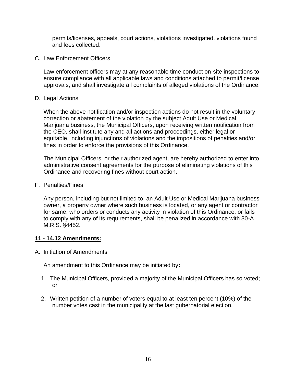permits/licenses, appeals, court actions, violations investigated, violations found and fees collected.

C. Law Enforcement Officers

Law enforcement officers may at any reasonable time conduct on-site inspections to ensure compliance with all applicable laws and conditions attached to permit/license approvals, and shall investigate all complaints of alleged violations of the Ordinance.

D. Legal Actions

When the above notification and/or inspection actions do not result in the voluntary correction or abatement of the violation by the subject Adult Use or Medical Marijuana business, the Municipal Officers, upon receiving written notification from the CEO, shall institute any and all actions and proceedings, either legal or equitable, including injunctions of violations and the impositions of penalties and/or fines in order to enforce the provisions of this Ordinance.

The Municipal Officers, or their authorized agent, are hereby authorized to enter into administrative consent agreements for the purpose of eliminating violations of this Ordinance and recovering fines without court action.

F. Penalties/Fines

Any person, including but not limited to, an Adult Use or Medical Marijuana business owner, a property owner where such business is located, or any agent or contractor for same, who orders or conducts any activity in violation of this Ordinance, or fails to comply with any of its requirements, shall be penalized in accordance with 30-A M.R.S. §4452.

### **11 - 14.12 Amendments:**

A. Initiation of Amendments

An amendment to this Ordinance may be initiated by**:** 

- 1. The Municipal Officers, provided a majority of the Municipal Officers has so voted; or
- 2. Written petition of a number of voters equal to at least ten percent (10%) of the number votes cast in the municipality at the last gubernatorial election.